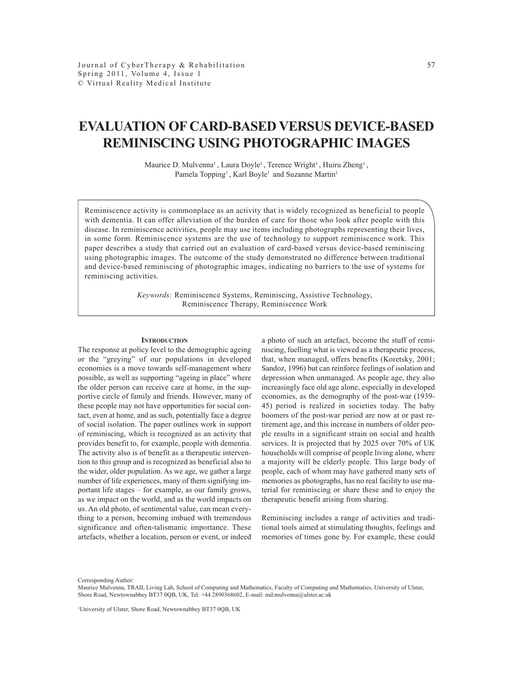# **EVALUATION OF CARD-BASED VERSUS DEVICE-BASED REMINISCING USING PHOTOGRAPHIC IMAGES**

Maurice D. Mulvenna<sup>1</sup>, Laura Doyle<sup>1</sup>, Terence Wright<sup>1</sup>, Huiru Zheng<sup>1</sup>, Pamela Topping<sup>1</sup>, Karl Boyle<sup>1</sup> and Suzanne Martin<sup>1</sup>

Reminiscence activity is commonplace as an activity that is widely recognized as beneficial to people with dementia. It can offer alleviation of the burden of care for those who look after people with this disease. In reminiscence activities, people may use items including photographs representing their lives, in some form. Reminiscence systems are the use of technology to support reminiscence work. This paper describes a study that carried out an evaluation of card-based versus device-based reminiscing using photographic images. The outcome of the study demonstrated no difference between traditional and device-based reminiscing of photographic images, indicating no barriers to the use of systems for reminiscing activities.

> *Keywords:* Reminiscence Systems, Reminiscing, Assistive Technology, Reminiscence Therapy, Reminiscence Work

#### **INTRODUCTION**

The response at policy level to the demographic ageing or the "greying" of our populations in developed economies is a move towards self-management where possible, as well as supporting "ageing in place" where the older person can receive care at home, in the supportive circle of family and friends. However, many of these people may not have opportunities for social contact, even at home, and as such, potentially face a degree of social isolation. The paper outlines work in support of reminiscing, which is recognized as an activity that provides benefit to, for example, people with dementia. The activity also is of benefit as a therapeutic intervention to this group and is recognized as beneficial also to the wider, older population. As we age, we gather a large number of life experiences, many of them signifying important life stages – for example, as our family grows, as we impact on the world, and as the world impacts on us. An old photo, of sentimental value, can mean everything to a person, becoming imbued with tremendous significance and often-talismanic importance. These artefacts, whether a location, person or event, or indeed

a photo of such an artefact, become the stuff of reminiscing, fuelling what is viewed as a therapeutic process, that, when managed, offers benefits (Koretsky, 2001; Sandoz, 1996) but can reinforce feelings of isolation and depression when unmanaged. As people age, they also increasingly face old age alone, especially in developed economies, as the demography of the post-war (1939- 45) period is realized in societies today. The baby boomers of the post-war period are now at or past retirement age, and this increase in numbers of older people results in a significant strain on social and health services. It is projected that by 2025 over 70% of UK households will comprise of people living alone, where a majority will be elderly people. This large body of people, each of whom may have gathered many sets of memories as photographs, has no real facility to use material for reminiscing or share these and to enjoy the therapeutic benefit arising from sharing.

Reminiscing includes a range of activities and traditional tools aimed at stimulating thoughts, feelings and memories of times gone by. For example, these could

Corresponding Author:

Maurice Mulvenna, TRAIL Living Lab, School of Computing and Mathematics, Faculty of Computing and Mathematics, University of Ulster, Shore Road, Newtownabbey BT37 0QB, UK, Tel: +44 2890368602, E-mail: md.mulvenna@ulster.ac.uk

1 University of Ulster, Shore Road, Newtownabbey BT37 0QB, UK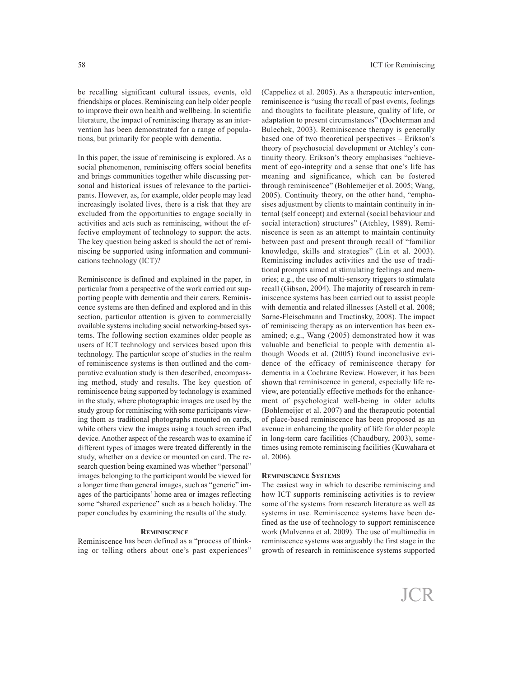be recalling significant cultural issues, events, old friendships or places. Reminiscing can help older people to improve their own health and wellbeing. In scientific literature, the impact of reminiscing therapy as an intervention has been demonstrated for <sup>a</sup> range of populations, but primarily for people with dementia.

In this paper, the issue of reminiscing is explored. As <sup>a</sup> social phenomenon, reminiscing offers social benefits and brings communities together while discussing personal and historical issues of relevance to the participants. However, as, for example, older people may lead increasingly isolated lives, there is <sup>a</sup> risk that they are excluded from the opportunities to engage socially in activities and acts such as reminiscing, without the effective employment of technology to suppor<sup>t</sup> the acts. The key question being asked is should the act of reminiscing be supported using information and communications technology (ICT)?

Reminiscence is defined and explained in the paper, in particular from <sup>a</sup> perspective of the work carried out supporting people with dementia and their carers. Reminiscence systems are then defined and explored and in this section, particular attention is given to commercially available systems including social networking-based systems. The following section examines older people as users of ICT technology and services based upon this technology. The particular scope of studies in the realm of reminiscence systems is then outlined and the comparative evaluation study is then described, encompassing method, study and results. The key question of reminiscence being supported by technology is examined in the study, where photographic images are used by the study group for reminiscing with some participants viewing them as traditional photographs mounted on cards, while others view the images using <sup>a</sup> touch screen iPad device. Another aspec<sup>t</sup> of the research was to examine if different types of images were treated differently in the study, whether on <sup>a</sup> device or mounted on card. The research question being examined was whether "personal" images belonging to the participant would be viewed for <sup>a</sup> longer time than general images, such as "generic" images of the participants' home area or images reflecting some "shared experience" such as <sup>a</sup> beach holiday. The paper concludes by examining the results of the study.

# **REMINISCENCE**

Reminiscence has been defined as <sup>a</sup> "process of thinking or telling others about one's pas<sup>t</sup> experiences" (Cappeliez et al. 2005). As <sup>a</sup> therapeutic intervention, reminiscence is "using the recall of pas<sup>t</sup> events, feelings and thoughts to facilitate pleasure, quality of life, or adaptation to presen<sup>t</sup> circumstances" (Dochterman and Bulechek, 2003). Reminiscence therapy is generally based one of two theoretical perspectives – Erikson's theory of psychosocial development or Atchley's continuity theory. Erikson's theory emphasises "achievement of ego-integrity and <sup>a</sup> sense that one's life has meaning and significance, which can be fostered through reminiscence" (Bohlemeijer et al. 2005; Wang, 2005). Continuity theory, on the other hand, "emphasises adjustment by clients to maintain continuity in internal (self concept) and external (social behaviour and social interaction) structures" (Atchley, 1989). Reminiscence is seen as an attempt to maintain continuity between pas<sup>t</sup> and presen<sup>t</sup> through recall of "familiar knowledge, skills and strategies" (Lin et al. 2003). Reminiscing includes activities and the use of traditional prompts aimed at stimulating feelings and memories; e.g., the use of multi-sensory triggers to stimulate recall (Gibson, 2004). The majority of research in reminiscence systems has been carried out to assist people with dementia and related illnesses (Astell et al. 2008; Sarne-Fleischmann and Tractinsky, 2008). The impact of reminiscing therapy as an intervention has been examined; e.g., Wang (2005) demonstrated how it was valuable and beneficial to people with dementia although Woods et al. (2005) found inconclusive evidence of the efficacy of reminiscence therapy for dementia in <sup>a</sup> Cochrane Review. However, it has been shown that reminiscence in general, especially life review, are potentially effective methods for the enhancement of psychological well-being in older adults (Bohlemeijer et al. 2007) and the therapeutic potential of place-based reminiscence has been proposed as an avenue in enhancing the quality of life for older people in long-term care facilities (Chaudbury, 2003), sometimes using remote reminiscing facilities (Kuwahara et al. 2006).

#### **REMINISCENCE SYSTEMS**

The easiest way in which to describe reminiscing and how ICT supports reminiscing activities is to review some of the systems from research literature as well as systems in use. Reminiscence systems have been defined as the use of technology to suppor<sup>t</sup> reminiscence work (Mulvenna et al. 2009). The use of multimedia in reminiscence systems was arguably the first stage in the growth of research in reminiscence systems supported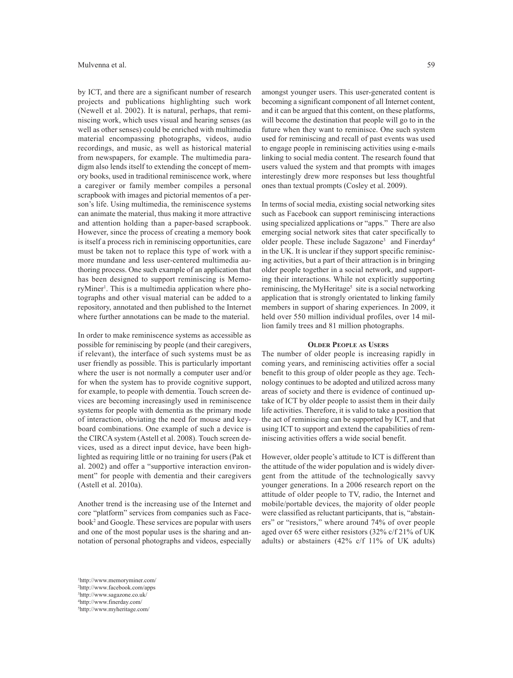by ICT, and there are a significant number of research projects and publications highlighting such work (Newell et al. 2002). It is natural, perhaps, that reminiscing work, which uses visual and hearing senses (as well as other senses) could be enriched with multimedia material encompassing photographs, videos, audio recordings, and music, as well as historical material from newspapers, for example. The multimedia paradigm also lends itself to extending the concept of memory books, used in traditional reminiscence work, where a caregiver or family member compiles a personal scrapbook with images and pictorial mementos of a person's life. Using multimedia, the reminiscence systems can animate the material, thus making it more attractive and attention holding than a paper-based scrapbook. However, since the process of creating a memory book is itself a process rich in reminiscing opportunities, care must be taken not to replace this type of work with a more mundane and less user-centered multimedia authoring process. One such example of an application that has been designed to support reminiscing is MemoryMiner<sup>1</sup>. This is a multimedia application where photographs and other visual material can be added to a repository, annotated and then published to the Internet where further annotations can be made to the material.

In order to make reminiscence systems as accessible as possible for reminiscing by people (and their caregivers, if relevant), the interface of such systems must be as user friendly as possible. This is particularly important where the user is not normally a computer user and/or for when the system has to provide cognitive support, for example, to people with dementia. Touch screen devices are becoming increasingly used in reminiscence systems for people with dementia as the primary mode of interaction, obviating the need for mouse and keyboard combinations. One example of such a device is the CIRCA system (Astell et al. 2008). Touch screen devices, used as a direct input device, have been highlighted as requiring little or no training for users (Pak et al. 2002) and offer a "supportive interaction environment" for people with dementia and their caregivers (Astell et al. 2010a).

Another trend is the increasing use of the Internet and core "platform" services from companies such as Facebook2 and Google. These services are popular with users and one of the most popular uses is the sharing and annotation of personal photographs and videos, especially

amongst younger users. This user-generated content is becoming a significant component of all Internet content, and it can be argued that this content, on these platforms, will become the destination that people will go to in the future when they want to reminisce. One such system used for reminiscing and recall of past events was used to engage people in reminiscing activities using e-mails linking to social media content. The research found that users valued the system and that prompts with images interestingly drew more responses but less thoughtful ones than textual prompts (Cosley et al. 2009).

In terms of social media, existing social networking sites such as Facebook can support reminiscing interactions using specialized applications or "apps." There are also emerging social network sites that cater specifically to older people. These include Sagazone3 and Finerday4 in the UK. It is unclear if they support specific reminiscing activities, but a part of their attraction is in bringing older people together in a social network, and supporting their interactions. While not explicitly supporting reminiscing, the MyHeritage<sup>5</sup> site is a social networking application that is strongly orientated to linking family members in support of sharing experiences. In 2009, it held over 550 million individual profiles, over 14 million family trees and 81 million photographs.

# **OLDER PEOPLE AS USERS**

The number of older people is increasing rapidly in coming years, and reminiscing activities offer a social benefit to this group of older people as they age. Technology continues to be adopted and utilized across many areas of society and there is evidence of continued uptake of ICT by older people to assist them in their daily life activities. Therefore, it is valid to take a position that the act of reminiscing can be supported by ICT, and that using ICT to support and extend the capabilities of reminiscing activities offers a wide social benefit.

However, older people's attitude to ICT is different than the attitude of the wider population and is widely divergent from the attitude of the technologically savvy younger generations. In a 2006 research report on the attitude of older people to TV, radio, the Internet and mobile/portable devices, the majority of older people were classified as reluctant participants, that is, "abstainers" or "resistors," where around 74% of over people aged over 65 were either resistors (32% c/f 21% of UK adults) or abstainers (42% c/f 11% of UK adults)

 http://www.memoryminer.com/ http://www.facebook.com/apps http://www.sagazone.co.uk/ http://www.finerday.com/ http://www.myheritage.com/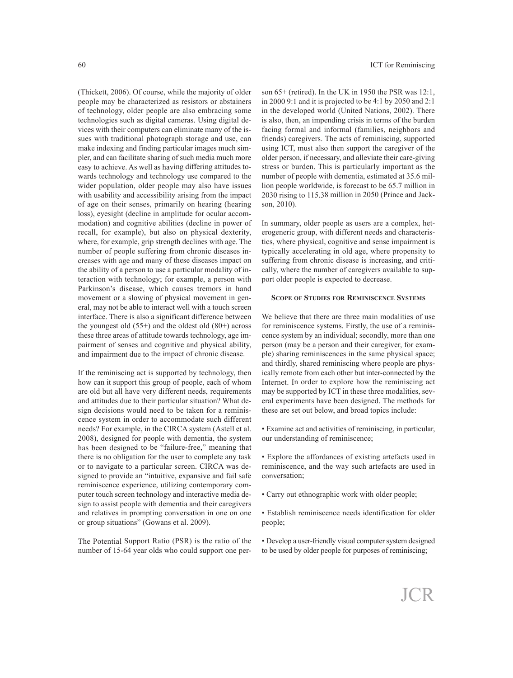(Thickett, 2006). Of course, while the majority of older people may be characterized as resistors or abstainers of technology, older people are also embracing some technologies such as digital cameras. Using digital devices with their computers can eliminate many of the issues with traditional photograph storage and use, can make indexing and finding particular images much simpler, and can facilitate sharing of such media much more easy to achieve. As well as having differing attitudes towards technology and technology use compared to the wider population, older people may also have issues with usability and accessibility arising from the impact of age on their senses, primarily on hearing (hearing loss), eyesight (decline in amplitude for ocular accommodation) and cognitive abilities (decline in power of recall, for example), but also on physical dexterity, where, for example, grip strength declines with age. The number of people suffering from chronic diseases increases with age and many of these diseases impact on the ability of <sup>a</sup> person to use <sup>a</sup> particular modality of interaction with technology; for example, <sup>a</sup> person with Parkinson's disease, which causes tremors in hand movement or <sup>a</sup> slowing of physical movement in general, may not be able to interact well with <sup>a</sup> touch screen interface. There is also <sup>a</sup> significant difference between the youngest old  $(55+)$  and the oldest old  $(80+)$  across these three areas of attitude towards technology, age impairment of senses and cognitive and physical ability, and impairment due to the impact of chronic disease.

If the reminiscing act is supported by technology, then how can it suppor<sup>t</sup> this group of people, each of whom are old but all have very different needs, requirements and attitudes due to their particular situation? What design decisions would need to be taken for <sup>a</sup> reminiscence system in order to accommodate such different needs? For example, in the CIRCA system (Astell et al. 2008), designed for people with dementia, the system has been designed to be "failure-free," meaning that there is no obligation for the user to complete any task or to navigate to <sup>a</sup> particular screen. CIRCA was designed to provide an "intuitive, expansive and fail safe reminiscence experience, utilizing contemporary computer touch screen technology and interactive media design to assist people with dementia and their caregivers and relatives in prompting conversation in one on one or group situations" (Gowans et al. 2009).

The Potential Support Ratio (PSR) is the ratio of the number of 15-64 year olds who could suppor<sup>t</sup> one person 65+ (retired). In the UK in 1950 the PSR was 12:1, in 2000 9:1 and it is projected to be 4:1 by 2050 and 2:1 in the developed world (United Nations, 2002). There is also, then, an impending crisis in terms of the burden facing formal and informal (families, neighbors and friends) caregivers. The acts of reminiscing, supported using ICT, must also then suppor<sup>t</sup> the caregiver of the older person, if necessary, and alleviate their care-giving stress or burden. This is particularly important as the number of people with dementia, estimated at 35.6 million people worldwide, is forecast to be 65.7 million in 2030 rising to 115.38 million in 2050 (Prince and Jackson, 2010).

In summary, older people as users are <sup>a</sup> complex, heterogeneric group, with different needs and characteristics, where physical, cognitive and sense impairment is typically accelerating in old age, where propensity to suffering from chronic disease is increasing, and critically, where the number of caregivers available to suppor<sup>t</sup> older people is expected to decrease.

# **SCOPE OF STUDIES FOR REMINISCENCE SYSTEMS**

We believe that there are three main modalities of use for reminiscence systems. Firstly, the use of <sup>a</sup> reminiscence system by an individual; secondly, more than one person (may be <sup>a</sup> person and their caregiver, for example) sharing reminiscences in the same physical space; and thirdly, shared reminiscing where people are physically remote from each other but inter-connected by the Internet. In order to explore how the reminiscing act may be supported by ICT in these three modalities, several experiments have been designed. The methods for these are set out below, and broad topics include:

• Examine act and activities of reminiscing, in particular, our understanding of reminiscence;

• Explore the affordances of existing artefacts used in reminiscence, and the way such artefacts are used in conversation;

• Carry out ethnographic work with older people;

• Establish reminiscence needs identification for older people;

• Develop a user-friendly visual computer system designed to be used by older people for purposes of reminiscing;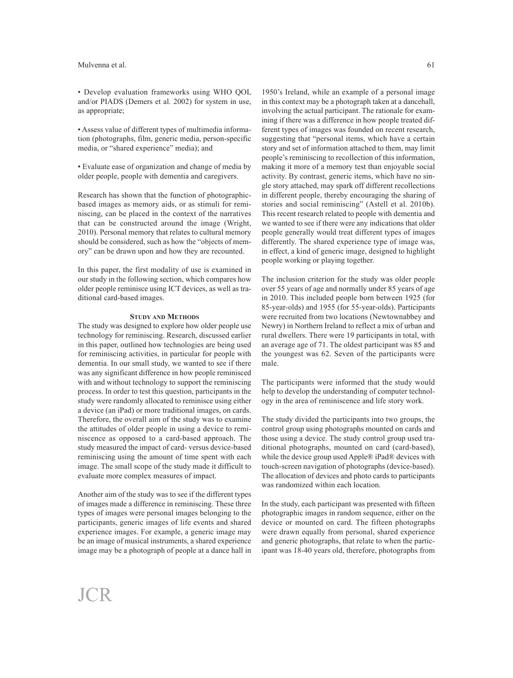• Develop evaluation frameworks using WHO QOL and/or PIADS (Demers et al. 2002) for system in use, as appropriate;

• Assess value of different types of multimedia information (photographs, film, generic media, person-specific media, or "shared experience" media); and

• Evaluate ease of organization and change of media by older people, people with dementia and caregivers.

Research has shown that the function of photographicbased images as memory aids, or as stimuli for reminiscing, can be placed in the context of the narratives that can be constructed around the image (Wright, 2010). Personal memory that relates to cultural memory should be considered, such as how the "objects of memory" can be drawn upon and how they are recounted.

In this paper, the first modality of use is examined in our study in the following section, which compares how older people reminisce using ICT devices, as well as traditional card-based images.

# **STUDY AND METHODS**

The study was designed to explore how older people use technology for reminiscing. Research, discussed earlier in this paper, outlined how technologies are being used for reminiscing activities, in particular for people with dementia. In our small study, we wanted to see if there was any significant difference in how people reminisced with and without technology to support the reminiscing process. In order to test this question, participants in the study were randomly allocated to reminisce using either a device (an iPad) or more traditional images, on cards. Therefore, the overall aim of the study was to examine the attitudes of older people in using a device to reminiscence as opposed to a card-based approach. The study measured the impact of card- versus device-based reminiscing using the amount of time spent with each image. The small scope of the study made it difficult to evaluate more complex measures of impact.

Another aim of the study was to see if the different types of images made a difference in reminiscing. These three types of images were personal images belonging to the participants, generic images of life events and shared experience images. For example, a generic image may be an image of musical instruments, a shared experience image may be a photograph of people at a dance hall in

61

1950's Ireland, while an example of a personal image in this context may be a photograph taken at a dancehall, involving the actual participant. The rationale for examining if there was a difference in how people treated different types of images was founded on recent research, suggesting that "personal items, which have a certain story and set of information attached to them, may limit people's reminiscing to recollection of this information, making it more of a memory test than enjoyable social activity. By contrast, generic items, which have no single story attached, may spark off different recollections in different people, thereby encouraging the sharing of stories and social reminiscing" (Astell et al. 2010b). This recent research related to people with dementia and we wanted to see if there were any indications that older people generally would treat different types of images differently. The shared experience type of image was, in effect, a kind of generic image, designed to highlight people working or playing together.

The inclusion criterion for the study was older people over 55 years of age and normally under 85 years of age in 2010. This included people born between 1925 (for 85-year-olds) and 1955 (for 55-year-olds). Participants were recruited from two locations (Newtownabbey and Newry) in Northern Ireland to reflect a mix of urban and rural dwellers. There were 19 participants in total, with an average age of 71. The oldest participant was 85 and the youngest was 62. Seven of the participants were male.

The participants were informed that the study would help to develop the understanding of computer technology in the area of reminiscence and life story work.

The study divided the participants into two groups, the control group using photographs mounted on cards and those using a device. The study control group used traditional photographs, mounted on card (card-based), while the device group used Apple® iPad® devices with touch-screen navigation of photographs (device-based). The allocation of devices and photo cards to participants was randomized within each location.

In the study, each participant was presented with fifteen photographic images in random sequence, either on the device or mounted on card. The fifteen photographs were drawn equally from personal, shared experience and generic photographs, that relate to when the participant was 18-40 years old, therefore, photographs from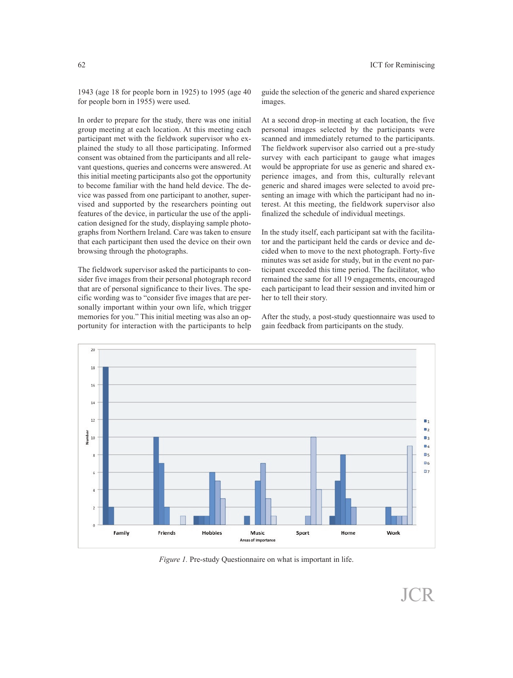1943 (age 18 for people born in 1925) to 1995 (age 40 for people born in 1955) were used.

In order to prepare for the study, there was one initial group meeting at each location. At this meeting each participant met with the fieldwork supervisor who explained the study to all those participating. Informed consent was obtained from the participants and all relevant questions, queries and concerns were answered. At this initial meeting participants also go<sup>t</sup> the opportunity to become familiar with the hand held device. The device was passed from one participant to another, supervised and supported by the researchers pointing out features of the device, in particular the use of the application designed for the study, displaying sample photographs from Northern Ireland. Care was taken to ensure that each participant then used the device on their own browsing through the photographs.

The fieldwork supervisor asked the participants to consider five images from their personal photograph record that are of personal significance to their lives. The specific wording was to "consider five images that are personally important within your own life, which trigger memories for you." This initial meeting was also an opportunity for interaction with the participants to help guide the selection of the generic and shared experience images.

At <sup>a</sup> second drop-in meeting at each location, the five personal images selected by the participants were scanned and immediately returned to the participants. The fieldwork supervisor also carried out <sup>a</sup> pre-study survey with each participant to gauge what images would be appropriate for use as generic and shared experience images, and from this, culturally relevant generic and shared images were selected to avoid presenting an image with which the participant had no interest. At this meeting, the fieldwork supervisor also finalized the schedule of individual meetings.

In the study itself, each participant sat with the facilitator and the participant held the cards or device and decided when to move to the next photograph. Forty-five minutes was set aside for study, but in the event no participant exceeded this time period. The facilitator, who remained the same for all 19 engagements, encouraged each participant to lead their session and invited him or her to tell their story.

After the study, <sup>a</sup> post-study questionnaire was used to gain feedback from participants on the study.



*Figure 1.* Pre-study Questionnaire on what is important in life.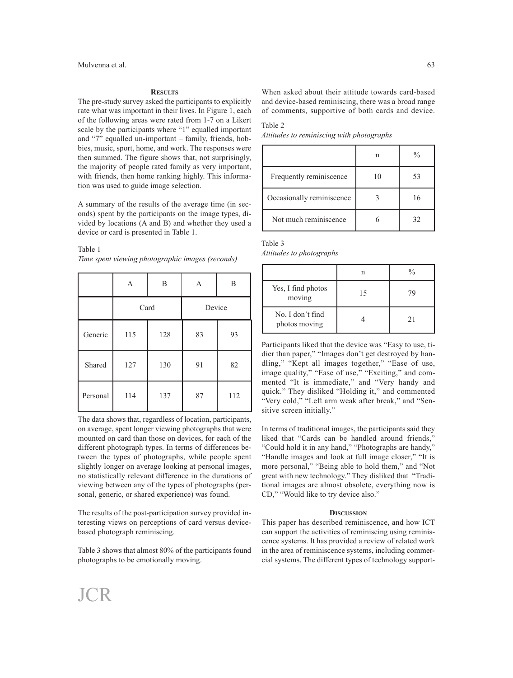#### **RESULTS**

The pre-study survey asked the participants to explicitly rate what was important in their lives. In Figure 1, each of the following areas were rated from 1-7 on a Likert scale by the participants where "1" equalled important and "7" equalled un-important – family, friends, hobbies, music, sport, home, and work. The responses were then summed. The figure shows that, not surprisingly, the majority of people rated family as very important, with friends, then home ranking highly. This information was used to guide image selection.

A summary of the results of the average time (in seconds) spent by the participants on the image types, divided by locations (A and B) and whether they used a device or card is presented in Table 1.

# Table 1

*Time spent viewing photographic images (seconds)*

|          | A    | B   | A      | B   |
|----------|------|-----|--------|-----|
|          | Card |     | Device |     |
| Generic  | 115  | 128 | 83     | 93  |
| Shared   | 127  | 130 | 91     | 82  |
| Personal | 114  | 137 | 87     | 112 |

The data shows that, regardless of location, participants, on average, spent longer viewing photographs that were mounted on card than those on devices, for each of the different photograph types. In terms of differences between the types of photographs, while people spent slightly longer on average looking at personal images, no statistically relevant difference in the durations of viewing between any of the types of photographs (personal, generic, or shared experience) was found.

The results of the post-participation survey provided interesting views on perceptions of card versus devicebased photograph reminiscing.

Table 3 shows that almost 80% of the participants found photographs to be emotionally moving.

When asked about their attitude towards card-based and device-based reminiscing, there was a broad range of comments, supportive of both cards and device.

# Table 2

*Attitudes to reminiscing with photographs*

|                           | n  | $\frac{0}{0}$ |
|---------------------------|----|---------------|
| Frequently reminiscence   | 10 | 53            |
| Occasionally reminiscence |    | 16            |
| Not much reminiscence     |    | 32            |

| Table 3                  |  |
|--------------------------|--|
| Attitudes to photographs |  |

|                                   |    | $\frac{0}{0}$ |
|-----------------------------------|----|---------------|
| Yes, I find photos<br>moving      | 15 | 79            |
| No, I don't find<br>photos moving |    | 21            |

Participants liked that the device was "Easy to use, tidier than paper," "Images don't get destroyed by handling," "Kept all images together," "Ease of use, image quality," "Ease of use," "Exciting," and commented "It is immediate," and "Very handy and quick." They disliked "Holding it," and commented "Very cold," "Left arm weak after break," and "Sensitive screen initially."

In terms of traditional images, the participants said they liked that "Cards can be handled around friends," "Could hold it in any hand," "Photographs are handy," "Handle images and look at full image closer," "It is more personal," "Being able to hold them," and "Not great with new technology." They disliked that "Traditional images are almost obsolete, everything now is CD," "Would like to try device also."

#### **DISCUSSION**

This paper has described reminiscence, and how ICT can support the activities of reminiscing using reminiscence systems. It has provided a review of related work in the area of reminiscence systems, including commercial systems. The different types of technology support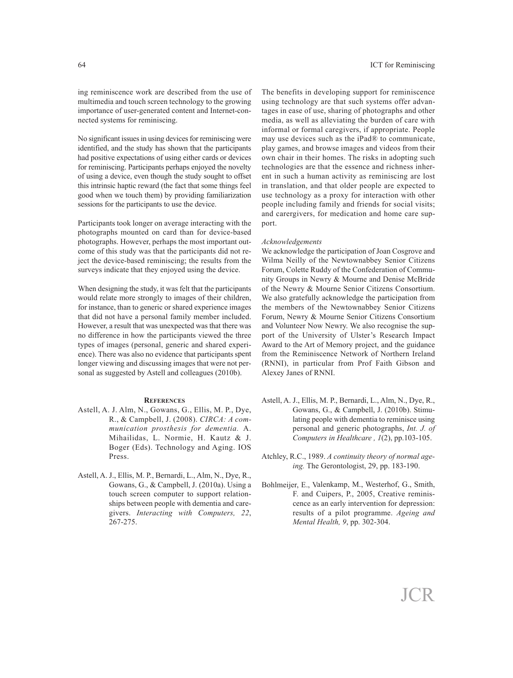ing reminiscence work are described from the use of multimedia and touch screen technology to the growing importance of user-generated content and Internet-connected systems for reminiscing.

No significant issues in using devices for reminiscing were identified, and the study has shown that the participants had positive expectations of using either cards or devices for reminiscing. Participants perhaps enjoyed the novelty of using <sup>a</sup> device, even though the study sought to offset this intrinsic haptic reward (the fact that some things feel good when we touch them) by providing familiarization sessions for the participants to use the device.

Participants took longer on average interacting with the photographs mounted on card than for device-based photographs. However, perhaps the most important outcome of this study was that the participants did not reject the device-based reminiscing; the results from the surveys indicate that they enjoyed using the device.

When designing the study, it was felt that the participants would relate more strongly to images of their children, for instance, than to generic or shared experience images that did not have <sup>a</sup> personal family member included. However, <sup>a</sup> result that was unexpected was that there was no difference in how the participants viewed the three types of images (personal, generic and shared experience). There was also no evidence that participants spen<sup>t</sup> longer viewing and discussing images that were not personal as suggested by Astell and colleagues (2010b).

# **REFERENCES**

- Astell, A. J. Alm, N., Gowans, G., Ellis, M. P., Dye, R., & Campbell, J. (2008). *CIRCA: A communication prosthesis for dementia.* A. Mihailidas, L. Normie, H. Kautz & J. Boger (Eds). Technology and Aging. IOS Press.
- Astell, A. J., Ellis, M. P., Bernardi, L., Alm, N., Dye, R., Gowans, G., & Campbell, J. (2010a). Using <sup>a</sup> touch screen computer to suppor<sup>t</sup> relationships between people with dementia and caregivers. *Interacting with Computers, 22*, 267-275.

The benefits in developing suppor<sup>t</sup> for reminiscence using technology are that such systems offer advantages in ease of use, sharing of photographs and other media, as well as alleviating the burden of care with informal or formal caregivers, if appropriate. People may use devices such as the iPad® to communicate, play games, and browse images and videos from their own chair in their homes. The risks in adopting such technologies are that the essence and richness inherent in such <sup>a</sup> human activity as reminiscing are lost in translation, and that older people are expected to use technology as <sup>a</sup> proxy for interaction with other people including family and friends for social visits; and carergivers, for medication and home care support.

# *Acknowledgements*

We acknowledge the participation of Joan Cosgrove and Wilma Neilly of the Newtownabbey Senior Citizens Forum, Colette Ruddy of the Confederation of Community Groups in Newry & Mourne and Denise McBride of the Newry & Mourne Senior Citizens Consortium. We also gratefully acknowledge the participation from the members of the Newtownabbey Senior Citizens Forum, Newry & Mourne Senior Citizens Consortium and Volunteer Now Newry. We also recognise the suppor<sup>t</sup> of the University of Ulster's Research Impact Award to the Art of Memory project, and the guidance from the Reminiscence Network of Northern Ireland (RNNI), in particular from Prof Faith Gibson and Alexey Janes of RNNI.

- Astell, A. J., Ellis, M. P., Bernardi, L., Alm, N., Dye, R., Gowans, G., & Campbell, J. (2010b). Stimulating people with dementia to reminisce using personal and generic photographs, *Int. J. of Computers in Healthcare , 1*(2), pp.103-105.
- Atchley, R.C., 1989. *A continuity theory of normal ageing.* The Gerontologist, 29, pp. 183-190.
- Bohlmeijer, E., Valenkamp, M., Westerhof, G., Smith, F. and Cuipers, P., 2005, Creative reminiscence as an early intervention for depression: results of <sup>a</sup> pilot programme. *Ageing and Mental Health, 9*, pp. 302-304.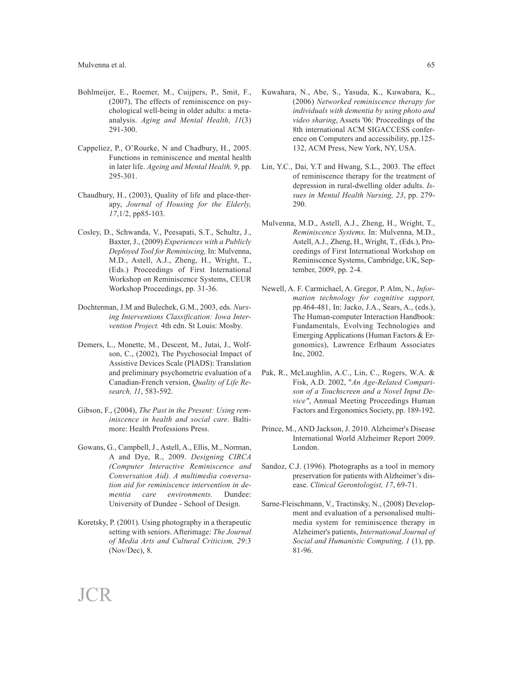- Bohlmeijer, E., Roemer, M., Cuijpers, P., Smit, F., (2007), The effects of reminiscence on psychological well-being in older adults: a metaanalysis. *Aging and Mental Health, 11*(3) 291-300.
- Cappeliez, P., O'Rourke, N and Chadbury, H., 2005. Functions in reminiscence and mental health in later life. *Ageing and Mental Health, 9*, pp. 295-301.
- Chaudhury, H., (2003), Quality of life and place-therapy, *Journal of Housing for the Elderly, 17*,1/2, pp85-103.
- Cosley, D., Schwanda, V., Peesapati, S.T., Schultz, J., Baxter, J., (2009) *Experiences with a Publicly Deployed Tool for Reminiscing,* In: Mulvenna, M.D., Astell, A.J., Zheng, H., Wright, T., (Eds.) Proceedings of First International Workshop on Reminiscence Systems, CEUR Workshop Proceedings, pp. 31-36.
- Dochterman, J.M and Bulechek, G.M., 2003, eds. *Nursing Interventions Classification: Iowa Intervention Project.* 4th edn. St Louis: Mosby.
- Demers, L., Monette, M., Descent, M., Jutai, J., Wolfson, C., (2002), The Psychosocial Impact of Assistive Devices Scale (PIADS): Translation and preliminary psychometric evaluation of a Canadian-French version, *Quality of Life Research, 11*, 583-592.
- Gibson, F., (2004), *The Past in the Present: Using reminiscence in health and social care*. Baltimore: Health Professions Press.
- Gowans, G., Campbell, J., Astell, A., Ellis, M., Norman, A and Dye, R., 2009. *Designing CIRCA (Computer Interactive Reminiscence and Conversation Aid). A multimedia conversation aid for reminiscence intervention in dementia care environments.* Dundee: University of Dundee - School of Design.
- Koretsky, P. (2001). Using photography in a therapeutic setting with seniors. Afterimage: *The Journal of Media Arts and Cultural Criticism, 29*:3 (Nov/Dec), 8.

JCR

- Kuwahara, N., Abe, S., Yasuda, K., Kuwabara, K., (2006) *Networked reminiscence therapy for individuals with dementia by using photo and video sharing*, Assets '06: Proceedings of the 8th international ACM SIGACCESS conference on Computers and accessibility, pp.125- 132, ACM Press, New York, NY, USA.
- Lin, Y.C., Dai, Y.T and Hwang, S.L., 2003. The effect of reminiscence therapy for the treatment of depression in rural-dwelling older adults. *Issues in Mental Health Nursing, 23*, pp. 279- 290.
- Mulvenna, M.D., Astell, A.J., Zheng, H., Wright, T., *Reminiscence Systems,* In: Mulvenna, M.D., Astell, A.J., Zheng, H., Wright, T., (Eds.), Proceedings of First International Workshop on Reminiscence Systems, Cambridge, UK, September, 2009, pp. 2-4.
- Newell, A. F. Carmichael, A. Gregor, P. Alm, N., *Information technology for cognitive support,* pp.464-481, In: Jacko, J.A., Sears, A., (eds.), The Human-computer Interaction Handbook: Fundamentals, Evolving Technologies and Emerging Applications (Human Factors & Ergonomics), Lawrence Erlbaum Associates Inc, 2002.
- Pak, R., McLaughlin, A.C., Lin, C., Rogers, W.A. & Fisk, A.D. 2002, "*An Age-Related Comparison of a Touchscreen and a Novel Input Device"*, Annual Meeting Proceedings Human Factors and Ergonomics Society, pp. 189-192.
- Prince, M., AND Jackson, J. 2010. Alzheimer's Disease International World Alzheimer Report 2009. London.
- Sandoz, C.J. (1996). Photographs as a tool in memory preservation for patients with Alzheimer's disease. *Clinical Gerontologist, 17*, 69-71.
- Sarne-Fleischmann, V., Tractinsky, N., (2008) Development and evaluation of a personalised multimedia system for reminiscence therapy in Alzheimer's patients, *International Journal of Social and Humanistic Computing, 1* (1), pp. 81-96.